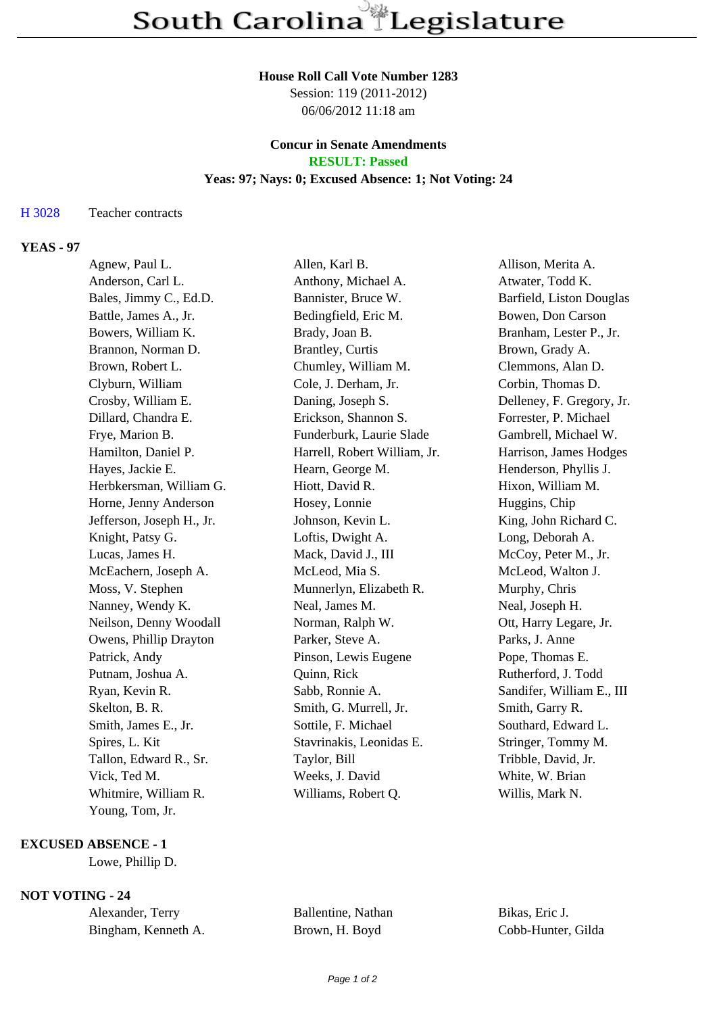# **House Roll Call Vote Number 1283**

Session: 119 (2011-2012) 06/06/2012 11:18 am

# **Concur in Senate Amendments RESULT: Passed**

# **Yeas: 97; Nays: 0; Excused Absence: 1; Not Voting: 24**

## H 3028 Teacher contracts

# **YEAS - 97**

| Agnew, Paul L.            | Allen, Karl B.               | Allison, Merita A.        |
|---------------------------|------------------------------|---------------------------|
| Anderson, Carl L.         | Anthony, Michael A.          | Atwater, Todd K.          |
| Bales, Jimmy C., Ed.D.    | Bannister, Bruce W.          | Barfield, Liston Douglas  |
| Battle, James A., Jr.     | Bedingfield, Eric M.         | Bowen, Don Carson         |
| Bowers, William K.        | Brady, Joan B.               | Branham, Lester P., Jr.   |
| Brannon, Norman D.        | Brantley, Curtis             | Brown, Grady A.           |
| Brown, Robert L.          | Chumley, William M.          | Clemmons, Alan D.         |
| Clyburn, William          | Cole, J. Derham, Jr.         | Corbin, Thomas D.         |
| Crosby, William E.        | Daning, Joseph S.            | Delleney, F. Gregory, Jr. |
| Dillard, Chandra E.       | Erickson, Shannon S.         | Forrester, P. Michael     |
| Frye, Marion B.           | Funderburk, Laurie Slade     | Gambrell, Michael W.      |
| Hamilton, Daniel P.       | Harrell, Robert William, Jr. | Harrison, James Hodges    |
| Hayes, Jackie E.          | Hearn, George M.             | Henderson, Phyllis J.     |
| Herbkersman, William G.   | Hiott, David R.              | Hixon, William M.         |
| Horne, Jenny Anderson     | Hosey, Lonnie                | Huggins, Chip             |
| Jefferson, Joseph H., Jr. | Johnson, Kevin L.            | King, John Richard C.     |
| Knight, Patsy G.          | Loftis, Dwight A.            | Long, Deborah A.          |
| Lucas, James H.           | Mack, David J., III          | McCoy, Peter M., Jr.      |
| McEachern, Joseph A.      | McLeod, Mia S.               | McLeod, Walton J.         |
| Moss, V. Stephen          | Munnerlyn, Elizabeth R.      | Murphy, Chris             |
| Nanney, Wendy K.          | Neal, James M.               | Neal, Joseph H.           |
| Neilson, Denny Woodall    | Norman, Ralph W.             | Ott, Harry Legare, Jr.    |
| Owens, Phillip Drayton    | Parker, Steve A.             | Parks, J. Anne            |
| Patrick, Andy             | Pinson, Lewis Eugene         | Pope, Thomas E.           |
| Putnam, Joshua A.         | Quinn, Rick                  | Rutherford, J. Todd       |
| Ryan, Kevin R.            | Sabb, Ronnie A.              | Sandifer, William E., III |
| Skelton, B. R.            | Smith, G. Murrell, Jr.       | Smith, Garry R.           |
| Smith, James E., Jr.      | Sottile, F. Michael          | Southard, Edward L.       |
| Spires, L. Kit            | Stavrinakis, Leonidas E.     | Stringer, Tommy M.        |
| Tallon, Edward R., Sr.    | Taylor, Bill                 | Tribble, David, Jr.       |
| Vick, Ted M.              | Weeks, J. David              | White, W. Brian           |
| Whitmire, William R.      | Williams, Robert Q.          | Willis, Mark N.           |
| Young, Tom, Jr.           |                              |                           |

# **EXCUSED ABSENCE - 1**

Lowe, Phillip D.

# **NOT VOTING - 24**

| Alexander, Terry    | Ballentine, Nathan | Bikas, Eric J.     |
|---------------------|--------------------|--------------------|
| Bingham, Kenneth A. | Brown, H. Boyd     | Cobb-Hunter, Gilda |

Ballentine, Nathan Bikas, Eric J.